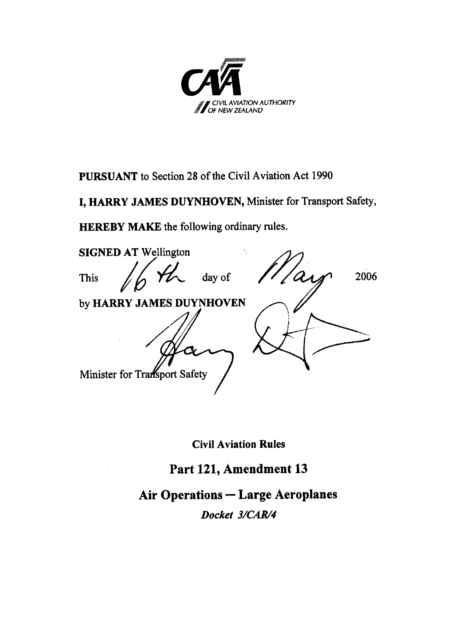

**PURSUANT** to Section 28 of the Civil Aviation Act 1990

I, HARRY JAMES DUYNHOVEN, Minister for Transport Safety,

**HEREBY MAKE** the following ordinary rules.

**SIGNED AT Wellington** day of 2006 This by HARRY JAMES DUYNHOVEN Minister for Transport Safety

**Civil Aviation Rules** 

## Part 121, Amendment 13

## **Air Operations - Large Aeroplanes**

Docket 3/CAR/4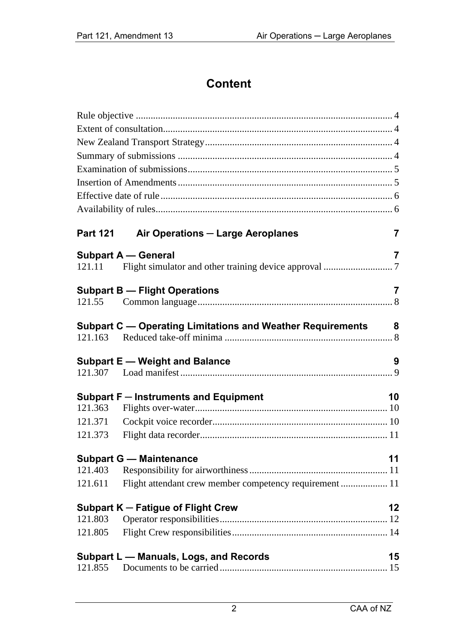## **Content**

| <b>Part 121</b> | Air Operations - Large Aeroplanes                          | 7  |
|-----------------|------------------------------------------------------------|----|
|                 | <b>Subpart A - General</b>                                 | 7  |
| 121.11          |                                                            |    |
|                 | <b>Subpart B - Flight Operations</b>                       | 7  |
| 121.55          |                                                            |    |
|                 | Subpart C - Operating Limitations and Weather Requirements | 8  |
|                 |                                                            |    |
|                 |                                                            |    |
|                 | <b>Subpart E - Weight and Balance</b>                      | 9  |
|                 |                                                            |    |
|                 | Subpart F - Instruments and Equipment                      | 10 |
| 121.363         |                                                            |    |
| 121.371         |                                                            |    |
| 121.373         |                                                            |    |
|                 | <b>Subpart G - Maintenance</b>                             | 11 |
| 121.403         |                                                            |    |
| 121.611         | Flight attendant crew member competency requirement  11    |    |
|                 | Subpart K - Fatigue of Flight Crew                         | 12 |
| 121.803         |                                                            |    |
| 121.805         |                                                            |    |
|                 | Subpart L - Manuals, Logs, and Records                     | 15 |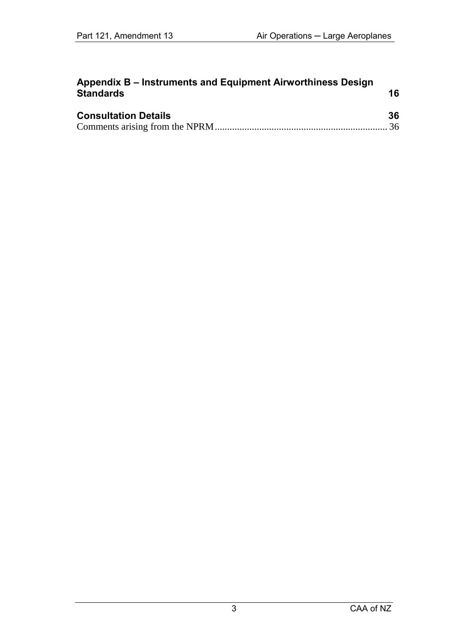| Appendix B – Instruments and Equipment Airworthiness Design |    |
|-------------------------------------------------------------|----|
| <b>Standards</b>                                            | 16 |
|                                                             |    |

| <b>Consultation Details</b> | 36 |
|-----------------------------|----|
|                             |    |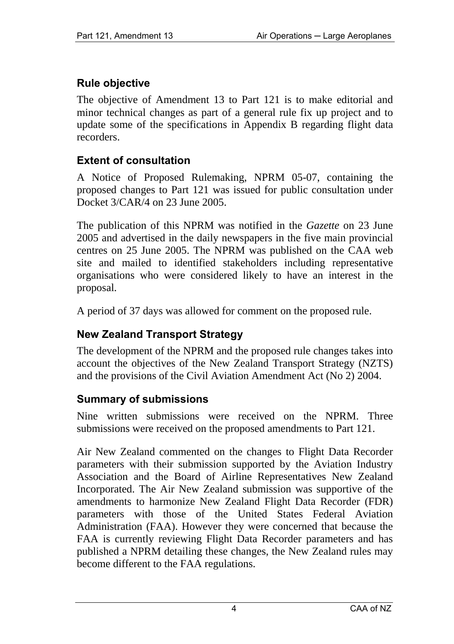## **Rule objective**

The objective of Amendment 13 to Part 121 is to make editorial and minor technical changes as part of a general rule fix up project and to update some of the specifications in Appendix B regarding flight data recorders.

### **Extent of consultation**

A Notice of Proposed Rulemaking, NPRM 05-07, containing the proposed changes to Part 121 was issued for public consultation under Docket 3/CAR/4 on 23 June 2005.

The publication of this NPRM was notified in the *Gazette* on 23 June 2005 and advertised in the daily newspapers in the five main provincial centres on 25 June 2005. The NPRM was published on the CAA web site and mailed to identified stakeholders including representative organisations who were considered likely to have an interest in the proposal.

A period of 37 days was allowed for comment on the proposed rule.

## **New Zealand Transport Strategy**

The development of the NPRM and the proposed rule changes takes into account the objectives of the New Zealand Transport Strategy (NZTS) and the provisions of the Civil Aviation Amendment Act (No 2) 2004.

## **Summary of submissions**

Nine written submissions were received on the NPRM. Three submissions were received on the proposed amendments to Part 121.

Air New Zealand commented on the changes to Flight Data Recorder parameters with their submission supported by the Aviation Industry Association and the Board of Airline Representatives New Zealand Incorporated. The Air New Zealand submission was supportive of the amendments to harmonize New Zealand Flight Data Recorder (FDR) parameters with those of the United States Federal Aviation Administration (FAA). However they were concerned that because the FAA is currently reviewing Flight Data Recorder parameters and has published a NPRM detailing these changes, the New Zealand rules may become different to the FAA regulations.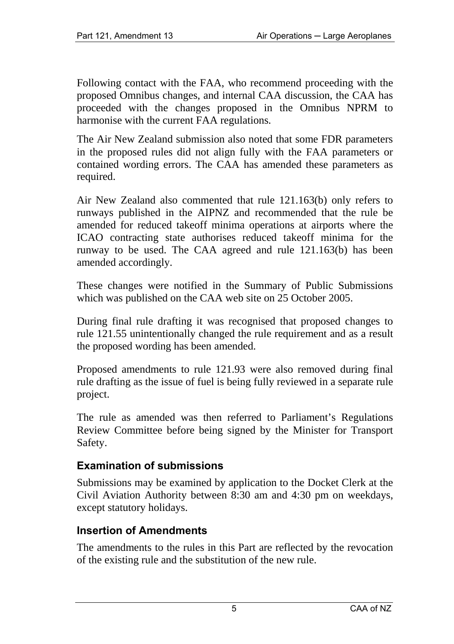Following contact with the FAA, who recommend proceeding with the proposed Omnibus changes, and internal CAA discussion, the CAA has proceeded with the changes proposed in the Omnibus NPRM to harmonise with the current FAA regulations.

The Air New Zealand submission also noted that some FDR parameters in the proposed rules did not align fully with the FAA parameters or contained wording errors. The CAA has amended these parameters as required.

Air New Zealand also commented that rule 121.163(b) only refers to runways published in the AIPNZ and recommended that the rule be amended for reduced takeoff minima operations at airports where the ICAO contracting state authorises reduced takeoff minima for the runway to be used. The CAA agreed and rule 121.163(b) has been amended accordingly.

These changes were notified in the Summary of Public Submissions which was published on the CAA web site on 25 October 2005.

During final rule drafting it was recognised that proposed changes to rule 121.55 unintentionally changed the rule requirement and as a result the proposed wording has been amended.

Proposed amendments to rule 121.93 were also removed during final rule drafting as the issue of fuel is being fully reviewed in a separate rule project.

The rule as amended was then referred to Parliament's Regulations Review Committee before being signed by the Minister for Transport Safety.

### **Examination of submissions**

Submissions may be examined by application to the Docket Clerk at the Civil Aviation Authority between 8:30 am and 4:30 pm on weekdays, except statutory holidays.

### **Insertion of Amendments**

The amendments to the rules in this Part are reflected by the revocation of the existing rule and the substitution of the new rule.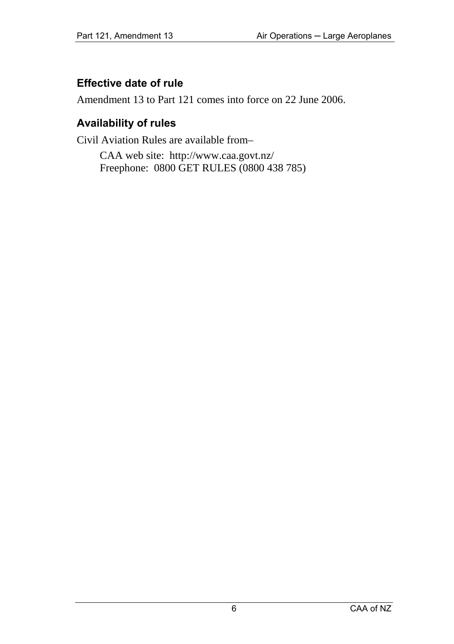### **Effective date of rule**

Amendment 13 to Part 121 comes into force on 22 June 2006.

### **Availability of rules**

Civil Aviation Rules are available from–

CAA web site: <http://www.caa.govt.nz/> Freephone: 0800 GET RULES (0800 438 785)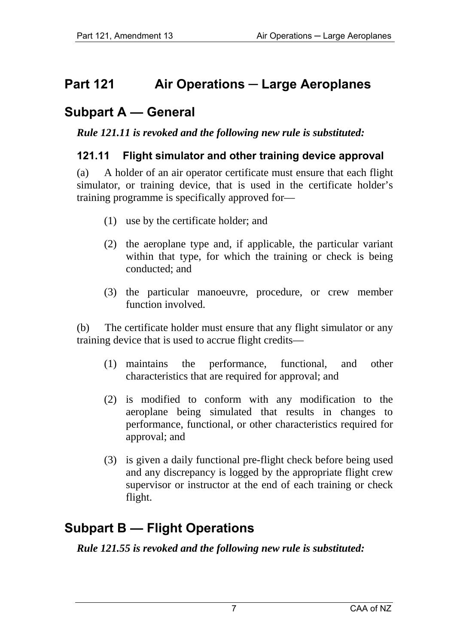## **Part 121 Air Operations — Large Aeroplanes**

## **Subpart A — General**

*Rule 121.11 is revoked and the following new rule is substituted:* 

#### **121.11 Flight simulator and other training device approval**

(a) A holder of an air operator certificate must ensure that each flight simulator, or training device, that is used in the certificate holder's training programme is specifically approved for—

- (1) use by the certificate holder; and
- (2) the aeroplane type and, if applicable, the particular variant within that type, for which the training or check is being conducted; and
- (3) the particular manoeuvre, procedure, or crew member function involved.

(b) The certificate holder must ensure that any flight simulator or any training device that is used to accrue flight credits—

- (1) maintains the performance, functional, and other characteristics that are required for approval; and
- (2) is modified to conform with any modification to the aeroplane being simulated that results in changes to performance, functional, or other characteristics required for approval; and
- (3) is given a daily functional pre-flight check before being used and any discrepancy is logged by the appropriate flight crew supervisor or instructor at the end of each training or check flight.

## **Subpart B — Flight Operations**

*Rule 121.55 is revoked and the following new rule is substituted:*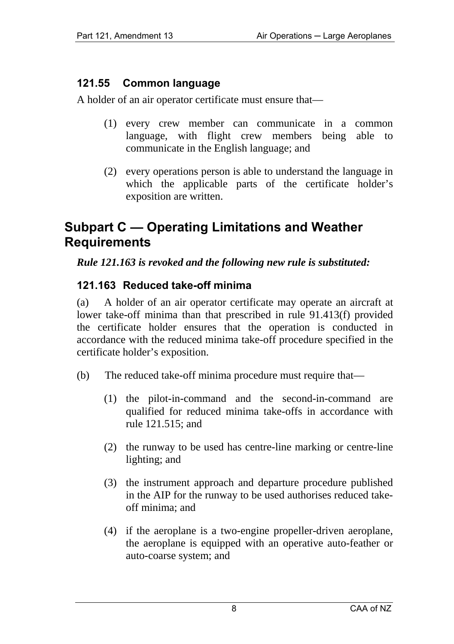### **121.55 Common language**

A holder of an air operator certificate must ensure that—

- (1) every crew member can communicate in a common language, with flight crew members being able to communicate in the English language; and
- (2) every operations person is able to understand the language in which the applicable parts of the certificate holder's exposition are written.

## **Subpart C — Operating Limitations and Weather Requirements**

#### *Rule 121.163 is revoked and the following new rule is substituted:*

### **121.163 Reduced take-off minima**

(a) A holder of an air operator certificate may operate an aircraft at lower take-off minima than that prescribed in rule 91.413(f) provided the certificate holder ensures that the operation is conducted in accordance with the reduced minima take-off procedure specified in the certificate holder's exposition.

- (b) The reduced take-off minima procedure must require that—
	- (1) the pilot-in-command and the second-in-command are qualified for reduced minima take-offs in accordance with rule 121.515; and
	- (2) the runway to be used has centre-line marking or centre-line lighting; and
	- (3) the instrument approach and departure procedure published in the AIP for the runway to be used authorises reduced takeoff minima; and
	- (4) if the aeroplane is a two-engine propeller-driven aeroplane, the aeroplane is equipped with an operative auto-feather or auto-coarse system; and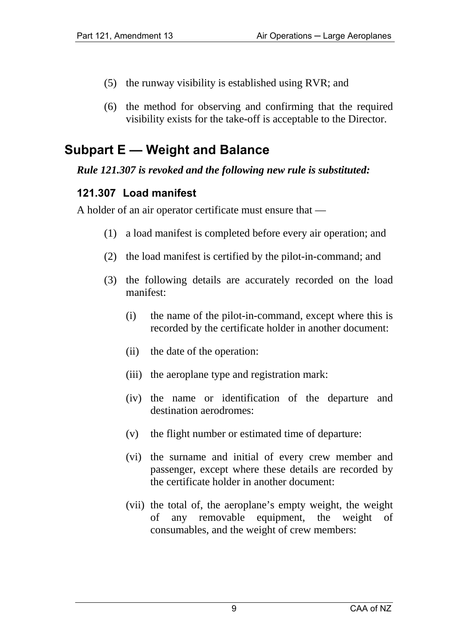- (5) the runway visibility is established using RVR; and
- (6) the method for observing and confirming that the required visibility exists for the take-off is acceptable to the Director.

# **Subpart E — Weight and Balance**

#### *Rule 121.307 is revoked and the following new rule is substituted:*

## **121.307 Load manifest**

A holder of an air operator certificate must ensure that —

- (1) a load manifest is completed before every air operation; and
- (2) the load manifest is certified by the pilot-in-command; and
- (3) the following details are accurately recorded on the load manifest:
	- (i) the name of the pilot-in-command, except where this is recorded by the certificate holder in another document:
	- (ii) the date of the operation:
	- (iii) the aeroplane type and registration mark:
	- (iv) the name or identification of the departure and destination aerodromes:
	- (v) the flight number or estimated time of departure:
	- (vi) the surname and initial of every crew member and passenger, except where these details are recorded by the certificate holder in another document:
	- (vii) the total of, the aeroplane's empty weight, the weight of any removable equipment, the weight of consumables, and the weight of crew members: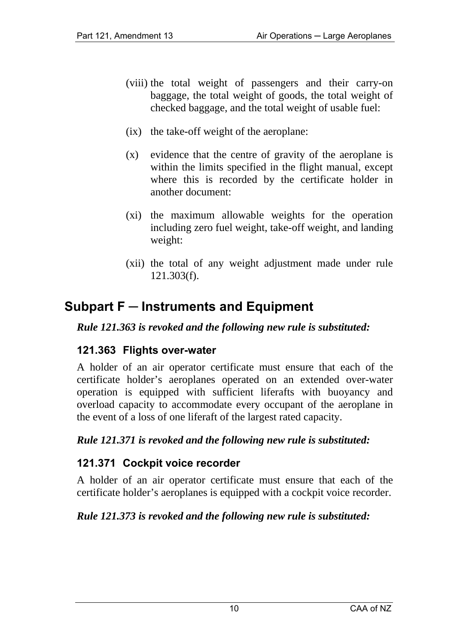- (viii) the total weight of passengers and their carry-on baggage, the total weight of goods, the total weight of checked baggage, and the total weight of usable fuel:
- (ix) the take-off weight of the aeroplane:
- (x) evidence that the centre of gravity of the aeroplane is within the limits specified in the flight manual, except where this is recorded by the certificate holder in another document:
- (xi) the maximum allowable weights for the operation including zero fuel weight, take-off weight, and landing weight:
- (xii) the total of any weight adjustment made under rule 121.303(f).

## **Subpart F ─ Instruments and Equipment**

*Rule 121.363 is revoked and the following new rule is substituted:* 

#### **121.363 Flights over-water**

A holder of an air operator certificate must ensure that each of the certificate holder's aeroplanes operated on an extended over-water operation is equipped with sufficient liferafts with buoyancy and overload capacity to accommodate every occupant of the aeroplane in the event of a loss of one liferaft of the largest rated capacity.

#### *Rule 121.371 is revoked and the following new rule is substituted:*

#### **121.371 Cockpit voice recorder**

A holder of an air operator certificate must ensure that each of the certificate holder's aeroplanes is equipped with a cockpit voice recorder.

#### *Rule 121.373 is revoked and the following new rule is substituted:*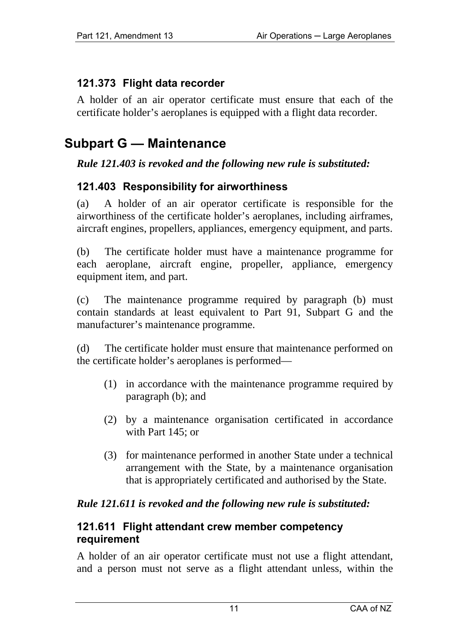## **121.373 Flight data recorder**

A holder of an air operator certificate must ensure that each of the certificate holder's aeroplanes is equipped with a flight data recorder.

## **Subpart G — Maintenance**

#### *Rule 121.403 is revoked and the following new rule is substituted:*

### **121.403 Responsibility for airworthiness**

(a) A holder of an air operator certificate is responsible for the airworthiness of the certificate holder's aeroplanes, including airframes, aircraft engines, propellers, appliances, emergency equipment, and parts.

(b) The certificate holder must have a maintenance programme for each aeroplane, aircraft engine, propeller, appliance, emergency equipment item, and part.

(c) The maintenance programme required by paragraph (b) must contain standards at least equivalent to Part 91, Subpart G and the manufacturer's maintenance programme.

(d) The certificate holder must ensure that maintenance performed on the certificate holder's aeroplanes is performed—

- (1) in accordance with the maintenance programme required by paragraph (b); and
- (2) by a maintenance organisation certificated in accordance with Part 145; or
- (3) for maintenance performed in another State under a technical arrangement with the State, by a maintenance organisation that is appropriately certificated and authorised by the State.

#### *Rule 121.611 is revoked and the following new rule is substituted:*

#### **121.611 Flight attendant crew member competency requirement**

A holder of an air operator certificate must not use a flight attendant, and a person must not serve as a flight attendant unless, within the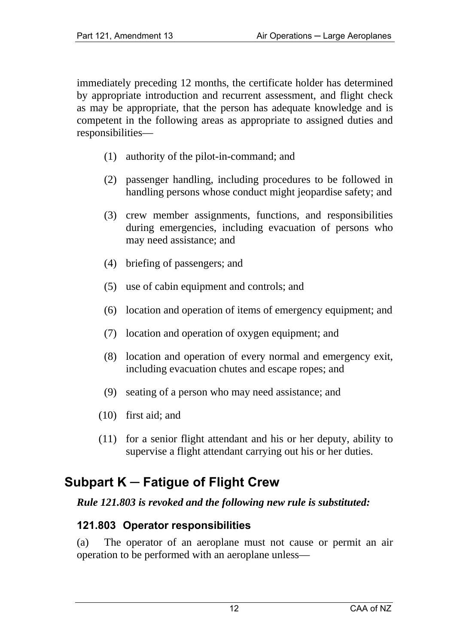immediately preceding 12 months, the certificate holder has determined by appropriate introduction and recurrent assessment, and flight check as may be appropriate, that the person has adequate knowledge and is competent in the following areas as appropriate to assigned duties and responsibilities—

- (1) authority of the pilot-in-command; and
- (2) passenger handling, including procedures to be followed in handling persons whose conduct might jeopardise safety; and
- (3) crew member assignments, functions, and responsibilities during emergencies, including evacuation of persons who may need assistance; and
- (4) briefing of passengers; and
- (5) use of cabin equipment and controls; and
- (6) location and operation of items of emergency equipment; and
- (7) location and operation of oxygen equipment; and
- (8) location and operation of every normal and emergency exit, including evacuation chutes and escape ropes; and
- (9) seating of a person who may need assistance; and
- (10) first aid; and
- (11) for a senior flight attendant and his or her deputy, ability to supervise a flight attendant carrying out his or her duties.

## **Subpart K ─ Fatigue of Flight Crew**

#### *Rule 121.803 is revoked and the following new rule is substituted:*

#### **121.803 Operator responsibilities**

(a) The operator of an aeroplane must not cause or permit an air operation to be performed with an aeroplane unless—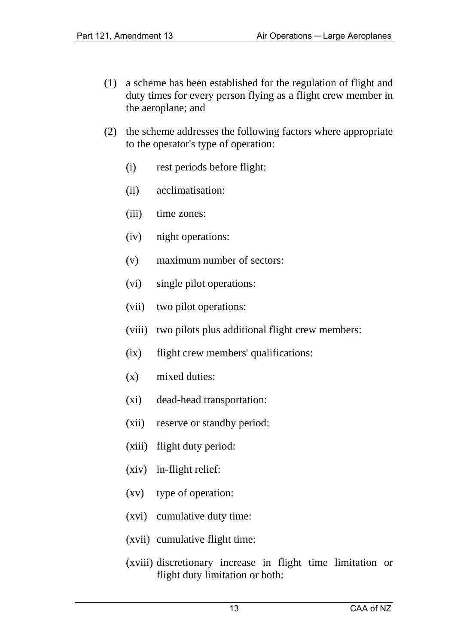- (1) a scheme has been established for the regulation of flight and duty times for every person flying as a flight crew member in the aeroplane; and
- (2) the scheme addresses the following factors where appropriate to the operator's type of operation:
	- (i) rest periods before flight:
	- (ii) acclimatisation:
	- (iii) time zones:
	- (iv) night operations:
	- (v) maximum number of sectors:
	- (vi) single pilot operations:
	- (vii) two pilot operations:
	- (viii) two pilots plus additional flight crew members:
	- (ix) flight crew members' qualifications:
	- (x) mixed duties:
	- (xi) dead-head transportation:
	- (xii) reserve or standby period:
	- (xiii) flight duty period:
	- (xiv) in-flight relief:
	- (xv) type of operation:
	- (xvi) cumulative duty time:
	- (xvii) cumulative flight time:
	- (xviii) discretionary increase in flight time limitation or flight duty limitation or both: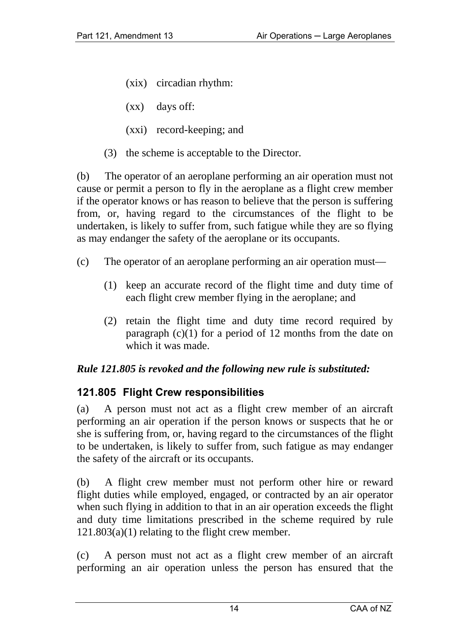- (xix) circadian rhythm:
- (xx) days off:
- (xxi) record-keeping; and
- (3) the scheme is acceptable to the Director.

(b) The operator of an aeroplane performing an air operation must not cause or permit a person to fly in the aeroplane as a flight crew member if the operator knows or has reason to believe that the person is suffering from, or, having regard to the circumstances of the flight to be undertaken, is likely to suffer from, such fatigue while they are so flying as may endanger the safety of the aeroplane or its occupants.

- (c) The operator of an aeroplane performing an air operation must—
	- (1) keep an accurate record of the flight time and duty time of each flight crew member flying in the aeroplane; and
	- (2) retain the flight time and duty time record required by paragraph  $(c)(1)$  for a period of 12 months from the date on which it was made.

#### *Rule 121.805 is revoked and the following new rule is substituted:*

## **121.805 Flight Crew responsibilities**

(a) A person must not act as a flight crew member of an aircraft performing an air operation if the person knows or suspects that he or she is suffering from, or, having regard to the circumstances of the flight to be undertaken, is likely to suffer from, such fatigue as may endanger the safety of the aircraft or its occupants.

(b) A flight crew member must not perform other hire or reward flight duties while employed, engaged, or contracted by an air operator when such flying in addition to that in an air operation exceeds the flight and duty time limitations prescribed in the scheme required by rule  $121.803(a)(1)$  relating to the flight crew member.

(c) A person must not act as a flight crew member of an aircraft performing an air operation unless the person has ensured that the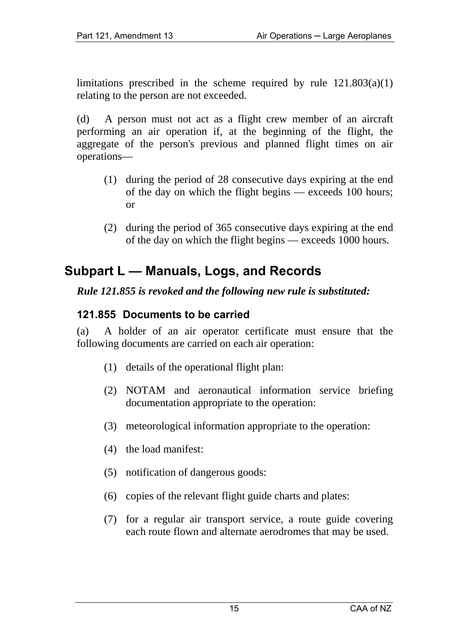limitations prescribed in the scheme required by rule 121.803(a)(1) relating to the person are not exceeded.

(d) A person must not act as a flight crew member of an aircraft performing an air operation if, at the beginning of the flight, the aggregate of the person's previous and planned flight times on air operations—

- (1) during the period of 28 consecutive days expiring at the end of the day on which the flight begins — exceeds 100 hours; or
- (2) during the period of 365 consecutive days expiring at the end of the day on which the flight begins — exceeds 1000 hours.

## **Subpart L — Manuals, Logs, and Records**

#### *Rule 121.855 is revoked and the following new rule is substituted:*

#### **121.855 Documents to be carried**

(a) A holder of an air operator certificate must ensure that the following documents are carried on each air operation:

- (1) details of the operational flight plan:
- (2) NOTAM and aeronautical information service briefing documentation appropriate to the operation:
- (3) meteorological information appropriate to the operation:
- (4) the load manifest:
- (5) notification of dangerous goods:
- (6) copies of the relevant flight guide charts and plates:
- (7) for a regular air transport service, a route guide covering each route flown and alternate aerodromes that may be used.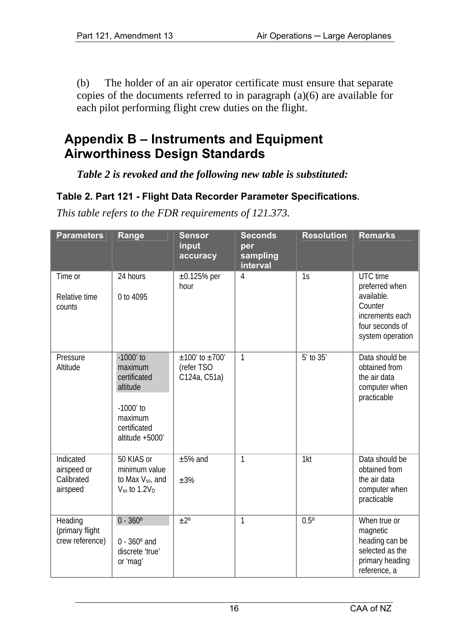(b) The holder of an air operator certificate must ensure that separate copies of the documents referred to in paragraph (a)(6) are available for each pilot performing flight crew duties on the flight.

## **Appendix B – Instruments and Equipment Airworthiness Design Standards**

*Table 2 is revoked and the following new table is substituted:* 

#### **Table 2. Part 121 - Flight Data Recorder Parameter Specifications.**

| <b>Parameters</b>                                  | Range                                                                                                           | <b>Sensor</b><br>input<br>accuracy               | <b>Seconds</b><br>per<br>sampling<br>interval | <b>Resolution</b> | <b>Remarks</b>                                                                                                |
|----------------------------------------------------|-----------------------------------------------------------------------------------------------------------------|--------------------------------------------------|-----------------------------------------------|-------------------|---------------------------------------------------------------------------------------------------------------|
| Time or<br>Relative time<br>counts                 | 24 hours<br>0 to 4095                                                                                           | $\pm 0.125\%$ per<br>hour                        | $\overline{4}$                                | 1s                | UTC time<br>preferred when<br>available.<br>Counter<br>increments each<br>four seconds of<br>system operation |
| Pressure<br>Altitude                               | $-1000'$ to<br>maximum<br>certificated<br>altitude<br>$-1000'$ to<br>maximum<br>certificated<br>altitude +5000' | $±100'$ to $±700'$<br>(refer TSO<br>C124a, C51a) | 1                                             | $5'$ to $35'$     | Data should be<br>obtained from<br>the air data<br>computer when<br>practicable                               |
| Indicated<br>airspeed or<br>Calibrated<br>airspeed | 50 KIAS or<br>minimum value<br>to Max $V_{so}$ , and<br>$V_{so}$ to 1.2 $V_{D}$                                 | $±5%$ and<br>±3%                                 | 1                                             | 1kt               | Data should be<br>obtained from<br>the air data<br>computer when<br>practicable                               |
| Heading<br>(primary flight<br>crew reference)      | $0 - 360^{\circ}$<br>$0 - 360^{\circ}$ and<br>discrete 'true'<br>or 'maq'                                       | $+2^{\circ}$                                     | 1                                             | $0.5^{\circ}$     | When true or<br>magnetic<br>heading can be<br>selected as the<br>primary heading<br>reference, a              |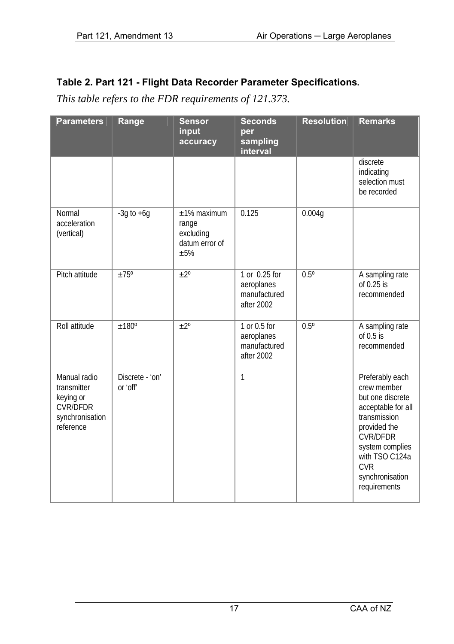| <b>Parameters</b>                                                                           | Range                       | <b>Sensor</b><br>input<br>accuracy                              | <b>Seconds</b><br>per<br>sampling<br>interval             | <b>Resolution</b> | <b>Remarks</b>                                                                                                                                                                                                    |
|---------------------------------------------------------------------------------------------|-----------------------------|-----------------------------------------------------------------|-----------------------------------------------------------|-------------------|-------------------------------------------------------------------------------------------------------------------------------------------------------------------------------------------------------------------|
|                                                                                             |                             |                                                                 |                                                           |                   | discrete<br>indicating<br>selection must<br>be recorded                                                                                                                                                           |
| Normal<br>acceleration<br>(vertical)                                                        | $-3q$ to $+6q$              | $±1\%$ maximum<br>range<br>excluding<br>datum error of<br>$+5%$ | 0.125                                                     | 0.004g            |                                                                                                                                                                                                                   |
| Pitch attitude                                                                              | $+75^\circ$                 | $+2^{\circ}$                                                    | 1 or 0.25 for<br>aeroplanes<br>manufactured<br>after 2002 | $0.5^\circ$       | A sampling rate<br>of $0.25$ is<br>recommended                                                                                                                                                                    |
| Roll attitude                                                                               | ±180°                       | $\pm 2^{\circ}$                                                 | 1 or 0.5 for<br>aeroplanes<br>manufactured<br>after 2002  | $0.5^\circ$       | A sampling rate<br>of $0.5$ is<br>recommended                                                                                                                                                                     |
| Manual radio<br>transmitter<br>keying or<br><b>CVR/DFDR</b><br>synchronisation<br>reference | Discrete - 'on'<br>or 'off' |                                                                 | 1                                                         |                   | Preferably each<br>crew member<br>but one discrete<br>acceptable for all<br>transmission<br>provided the<br><b>CVR/DFDR</b><br>system complies<br>with TSO C124a<br><b>CVR</b><br>synchronisation<br>requirements |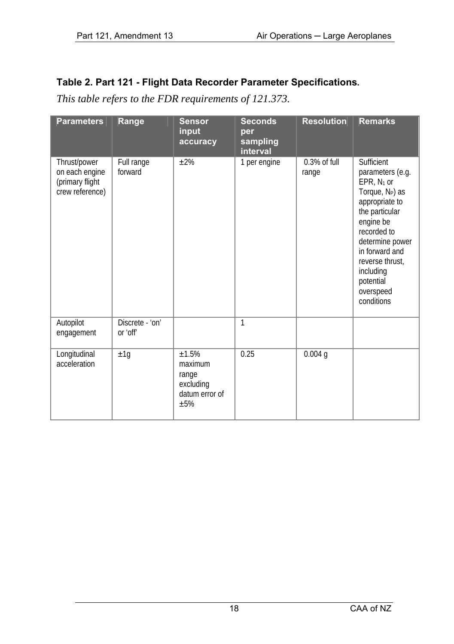| <b>Parameters</b>                                                    | Range                       | <b>Sensor</b><br>input<br>accuracy                                | <b>Seconds</b><br>per<br>sampling<br>interval | <b>Resolution</b>        | <b>Remarks</b>                                                                                                                                                                                                                                              |
|----------------------------------------------------------------------|-----------------------------|-------------------------------------------------------------------|-----------------------------------------------|--------------------------|-------------------------------------------------------------------------------------------------------------------------------------------------------------------------------------------------------------------------------------------------------------|
| Thrust/power<br>on each engine<br>(primary flight<br>crew reference) | Full range<br>forward       | ±2%                                                               | 1 per engine                                  | $0.3\%$ of full<br>range | Sufficient<br>parameters (e.g.<br>EPR, $N_1$ or<br>Torque, N <sub>P</sub> ) as<br>appropriate to<br>the particular<br>engine be<br>recorded to<br>determine power<br>in forward and<br>reverse thrust,<br>including<br>potential<br>overspeed<br>conditions |
| Autopilot<br>engagement                                              | Discrete - 'on'<br>or 'off' |                                                                   | 1                                             |                          |                                                                                                                                                                                                                                                             |
| Longitudinal<br>acceleration                                         | ±1g                         | $+1.5%$<br>maximum<br>range<br>excluding<br>datum error of<br>±5% | 0.25                                          | 0.004q                   |                                                                                                                                                                                                                                                             |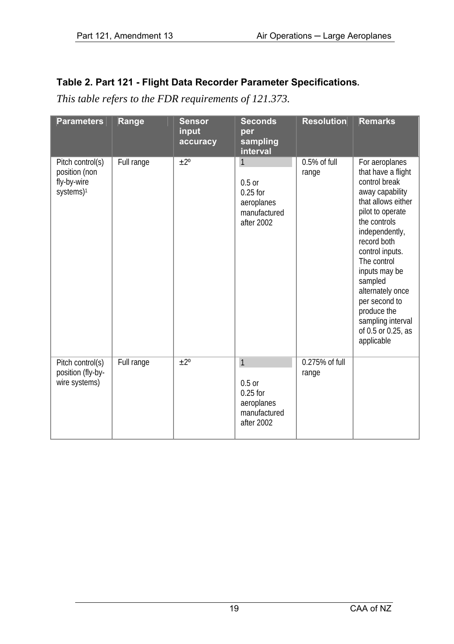| <b>Parameters</b>                                                         | Range      | <b>Sensor</b><br>input<br>accuracy | <b>Seconds</b><br>per<br>sampling<br>interval                                      | <b>Resolution</b>         | <b>Remarks</b>                                                                                                                                                                                                                                                                                                                                 |
|---------------------------------------------------------------------------|------------|------------------------------------|------------------------------------------------------------------------------------|---------------------------|------------------------------------------------------------------------------------------------------------------------------------------------------------------------------------------------------------------------------------------------------------------------------------------------------------------------------------------------|
| Pitch control(s)<br>position (non<br>fly-by-wire<br>systems) <sup>1</sup> | Full range | $\pm 2^{\circ}$                    | 1<br>$0.5$ or<br>$0.25$ for<br>aeroplanes<br>manufactured<br>after 2002            | $0.5%$ of full<br>range   | For aeroplanes<br>that have a flight<br>control break<br>away capability<br>that allows either<br>pilot to operate<br>the controls<br>independently,<br>record both<br>control inputs.<br>The control<br>inputs may be<br>sampled<br>alternately once<br>per second to<br>produce the<br>sampling interval<br>of 0.5 or 0.25, as<br>applicable |
| Pitch control(s)<br>position (fly-by-<br>wire systems)                    | Full range | $+2^{\circ}$                       | $\mathbf{1}$<br>$0.5$ or<br>$0.25$ for<br>aeroplanes<br>manufactured<br>after 2002 | $0.275%$ of full<br>range |                                                                                                                                                                                                                                                                                                                                                |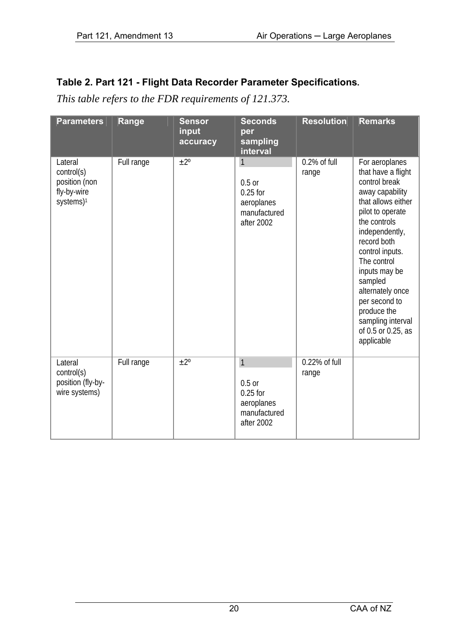| <b>Parameters</b>                                                              | Range      | <b>Sensor</b><br>input<br>accuracy | <b>Seconds</b><br>per<br>sampling<br>interval                           | <b>Resolution</b>        | <b>Remarks</b>                                                                                                                                                                                                                                                                                                                                 |
|--------------------------------------------------------------------------------|------------|------------------------------------|-------------------------------------------------------------------------|--------------------------|------------------------------------------------------------------------------------------------------------------------------------------------------------------------------------------------------------------------------------------------------------------------------------------------------------------------------------------------|
| Lateral<br>control(s)<br>position (non<br>fly-by-wire<br>systems) <sup>1</sup> | Full range | $+2^{\circ}$                       | 1<br>$0.5$ or<br>$0.25$ for<br>aeroplanes<br>manufactured<br>after 2002 | $0.2\%$ of full<br>range | For aeroplanes<br>that have a flight<br>control break<br>away capability<br>that allows either<br>pilot to operate<br>the controls<br>independently,<br>record both<br>control inputs.<br>The control<br>inputs may be<br>sampled<br>alternately once<br>per second to<br>produce the<br>sampling interval<br>of 0.5 or 0.25, as<br>applicable |
| Lateral<br>control(s)<br>position (fly-by-<br>wire systems)                    | Full range | $+2^{\circ}$                       | 1<br>$0.5$ or<br>$0.25$ for<br>aeroplanes<br>manufactured<br>after 2002 | $0.22%$ of full<br>range |                                                                                                                                                                                                                                                                                                                                                |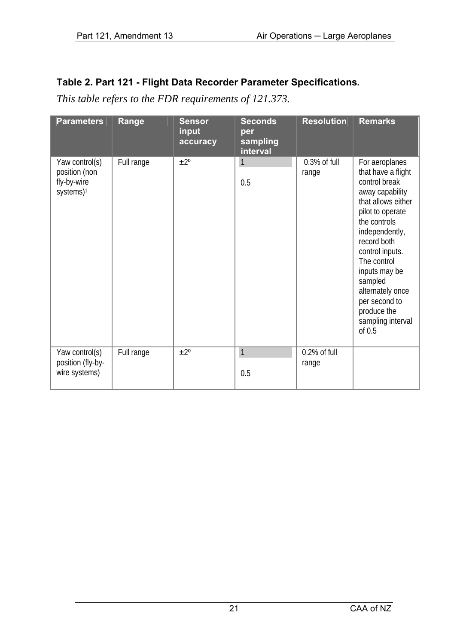| <b>Parameters</b>                                                       | Range      | <b>Sensor</b><br>input<br>accuracy | <b>Seconds</b><br>per<br>sampling<br>interval | <b>Resolution</b>        | <b>Remarks</b>                                                                                                                                                                                                                                                                                                         |
|-------------------------------------------------------------------------|------------|------------------------------------|-----------------------------------------------|--------------------------|------------------------------------------------------------------------------------------------------------------------------------------------------------------------------------------------------------------------------------------------------------------------------------------------------------------------|
| Yaw control(s)<br>position (non<br>fly-by-wire<br>systems) <sup>1</sup> | Full range | $\pm 2^{\circ}$                    | 1<br>0.5                                      | $0.3\%$ of full<br>range | For aeroplanes<br>that have a flight<br>control break<br>away capability<br>that allows either<br>pilot to operate<br>the controls<br>independently,<br>record both<br>control inputs.<br>The control<br>inputs may be<br>sampled<br>alternately once<br>per second to<br>produce the<br>sampling interval<br>of $0.5$ |
| Yaw control(s)<br>position (fly-by-                                     | Full range | $+2^{\circ}$                       | 1                                             | 0.2% of full<br>range    |                                                                                                                                                                                                                                                                                                                        |
| wire systems)                                                           |            |                                    | 0.5                                           |                          |                                                                                                                                                                                                                                                                                                                        |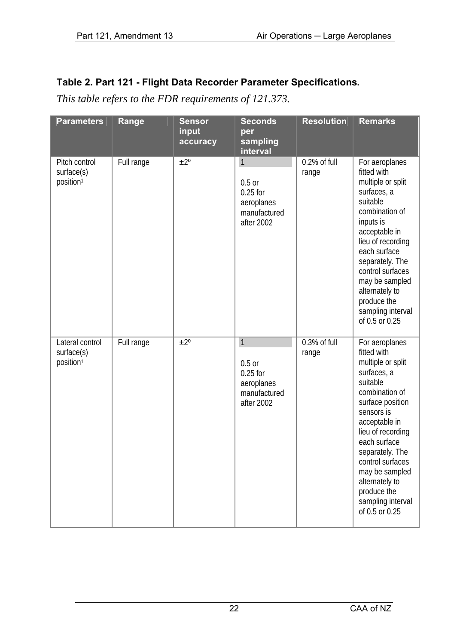| <b>Parameters</b>                                      | Range      | <b>Sensor</b><br>input<br>accuracy | <b>Seconds</b><br>per<br>sampling<br>interval                                        | <b>Resolution</b>        | <b>Remarks</b>                                                                                                                                                                                                                                                                                                           |
|--------------------------------------------------------|------------|------------------------------------|--------------------------------------------------------------------------------------|--------------------------|--------------------------------------------------------------------------------------------------------------------------------------------------------------------------------------------------------------------------------------------------------------------------------------------------------------------------|
| Pitch control<br>surface(s)<br>position <sup>1</sup>   | Full range | $+2^{\circ}$                       | $\mathbf{1}$<br>$0.5$ or<br>$0.25$ for<br>aeroplanes<br>manufactured<br>after 2002   | $0.2\%$ of full<br>range | For aeroplanes<br>fitted with<br>multiple or split<br>surfaces, a<br>suitable<br>combination of<br>inputs is<br>acceptable in<br>lieu of recording<br>each surface<br>separately. The<br>control surfaces<br>may be sampled<br>alternately to<br>produce the<br>sampling interval<br>of 0.5 or 0.25                      |
| Lateral control<br>surface(s)<br>position <sup>1</sup> | Full range | $\overline{\pm 2^{\circ}}$         | $\overline{1}$<br>$0.5$ or<br>$0.25$ for<br>aeroplanes<br>manufactured<br>after 2002 | $0.3\%$ of full<br>range | For aeroplanes<br>fitted with<br>multiple or split<br>surfaces, a<br>suitable<br>combination of<br>surface position<br>sensors is<br>acceptable in<br>lieu of recording<br>each surface<br>separately. The<br>control surfaces<br>may be sampled<br>alternately to<br>produce the<br>sampling interval<br>of 0.5 or 0.25 |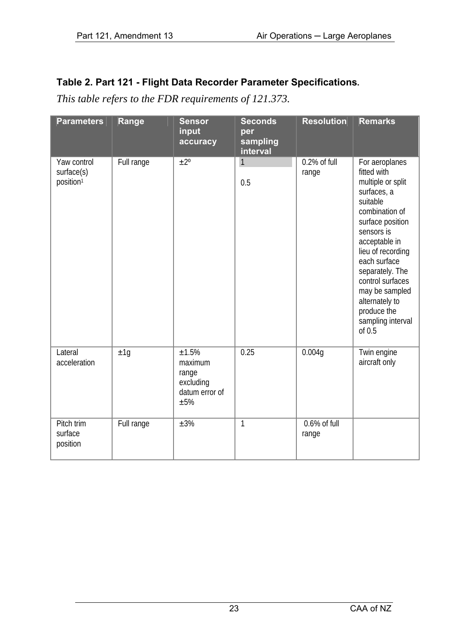| <b>Parameters</b>                                  | Range      | <b>Sensor</b><br>input<br>accuracy                                | <b>Seconds</b><br>per<br>sampling<br>interval | <b>Resolution</b>        | <b>Remarks</b>                                                                                                                                                                                                                                                                                                     |
|----------------------------------------------------|------------|-------------------------------------------------------------------|-----------------------------------------------|--------------------------|--------------------------------------------------------------------------------------------------------------------------------------------------------------------------------------------------------------------------------------------------------------------------------------------------------------------|
| Yaw control<br>surface(s)<br>position <sup>1</sup> | Full range | $+2^{\circ}$                                                      | 1<br>0.5                                      | $0.2\%$ of full<br>range | For aeroplanes<br>fitted with<br>multiple or split<br>surfaces, a<br>suitable<br>combination of<br>surface position<br>sensors is<br>acceptable in<br>lieu of recording<br>each surface<br>separately. The<br>control surfaces<br>may be sampled<br>alternately to<br>produce the<br>sampling interval<br>of $0.5$ |
| Lateral<br>acceleration                            | ±1q        | ±1.5%<br>maximum<br>range<br>excluding<br>datum error of<br>$+5%$ | 0.25                                          | 0.004g                   | Twin engine<br>aircraft only                                                                                                                                                                                                                                                                                       |
| Pitch trim<br>surface<br>position                  | Full range | ±3%                                                               | 1                                             | $0.6\%$ of full<br>range |                                                                                                                                                                                                                                                                                                                    |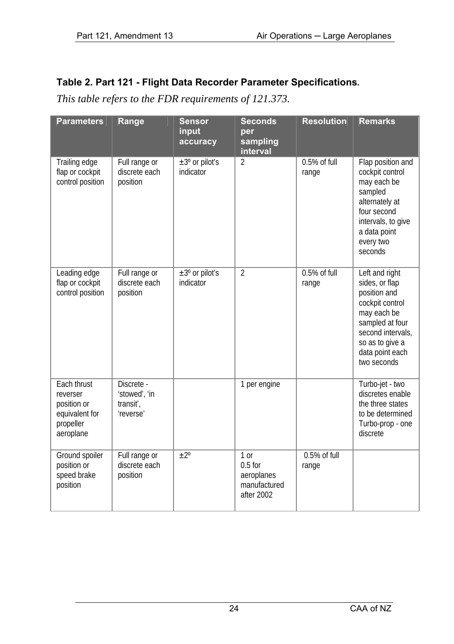| <b>Parameters</b>                                                                  | Range                                                 | <b>Sensor</b><br>input<br>accuracy      | <b>Seconds</b><br>per<br>sampling<br>interval                   | <b>Resolution</b>       | <b>Remarks</b>                                                                                                                                                                  |
|------------------------------------------------------------------------------------|-------------------------------------------------------|-----------------------------------------|-----------------------------------------------------------------|-------------------------|---------------------------------------------------------------------------------------------------------------------------------------------------------------------------------|
| Trailing edge<br>flap or cockpit<br>control position                               | Full range or<br>discrete each<br>position            | $\pm 3^{\circ}$ or pilot's<br>indicator | $\overline{2}$                                                  | $0.5%$ of full<br>range | Flap position and<br>cockpit control<br>may each be<br>sampled<br>alternately at<br>four second<br>intervals, to give<br>a data point<br>every two<br>seconds                   |
| Leading edge<br>flap or cockpit<br>control position                                | Full range or<br>discrete each<br>position            | $\pm 3^{\circ}$ or pilot's<br>indicator | $\overline{2}$                                                  | 0.5% of full<br>range   | Left and right<br>sides, or flap<br>position and<br>cockpit control<br>may each be<br>sampled at four<br>second intervals.<br>so as to give a<br>data point each<br>two seconds |
| Each thrust<br>reverser<br>position or<br>equivalent for<br>propeller<br>aeroplane | Discrete -<br>'stowed', 'in<br>transit',<br>'reverse' |                                         | 1 per engine                                                    |                         | Turbo-jet - two<br>discretes enable<br>the three states<br>to be determined<br>Turbo-prop - one<br>discrete                                                                     |
| Ground spoiler<br>position or<br>speed brake<br>position                           | Full range or<br>discrete each<br>position            | $\pm 2^{\circ}$                         | $1$ or<br>$0.5$ for<br>aeroplanes<br>manufactured<br>after 2002 | $0.5%$ of full<br>range |                                                                                                                                                                                 |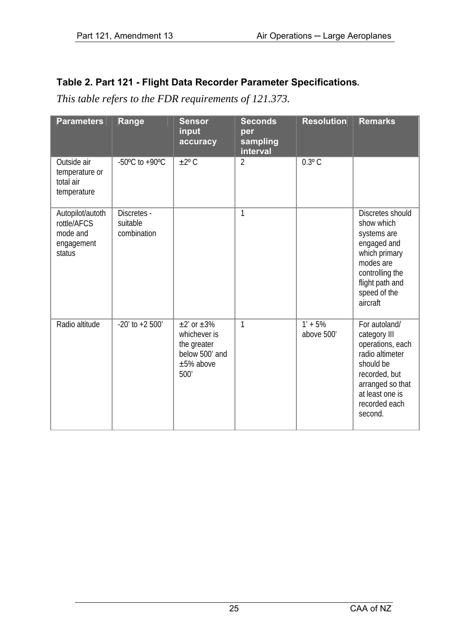| <b>Parameters</b>                                                   | Range                                                | <b>Sensor</b><br>input<br>accuracy                                                       | <b>Seconds</b><br>per<br>sampling<br>interval | <b>Resolution</b>       | <b>Remarks</b>                                                                                                                                                        |
|---------------------------------------------------------------------|------------------------------------------------------|------------------------------------------------------------------------------------------|-----------------------------------------------|-------------------------|-----------------------------------------------------------------------------------------------------------------------------------------------------------------------|
| Outside air<br>temperature or<br>total air<br>temperature           | -50 $\mathrm{^{\circ}C}$ to +90 $\mathrm{^{\circ}C}$ | $\pm 2^{\circ}$ C                                                                        | $\mathfrak{D}$                                | $0.3^{\circ}$ C         |                                                                                                                                                                       |
| Autopilot/autoth<br>rottle/AFCS<br>mode and<br>engagement<br>status | Discretes -<br>suitable<br>combination               |                                                                                          | 1                                             |                         | Discretes should<br>show which<br>systems are<br>engaged and<br>which primary<br>modes are<br>controlling the<br>flight path and<br>speed of the<br>aircraft          |
| Radio altitude                                                      | $-20'$ to $+2.500'$                                  | $+2'$ or $+3\%$<br>whichever is<br>the greater<br>below 500' and<br>$±5\%$ above<br>500' | 1                                             | $1' + 5%$<br>above 500' | For autoland/<br>category III<br>operations, each<br>radio altimeter<br>should be<br>recorded, but<br>arranged so that<br>at least one is<br>recorded each<br>second. |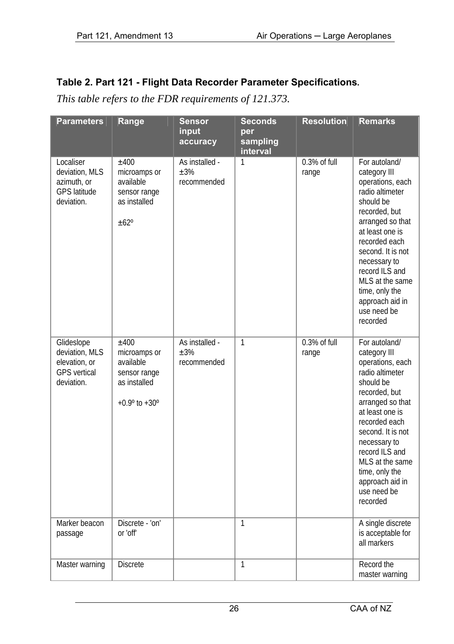| <b>Parameters</b>                                                                  | Range                                                                                                  | <b>Sensor</b><br>input<br>accuracy     | <b>Seconds</b><br>per<br>sampling<br>interval | <b>Resolution</b>        | <b>Remarks</b>                                                                                                                                                                                                                                                                                       |
|------------------------------------------------------------------------------------|--------------------------------------------------------------------------------------------------------|----------------------------------------|-----------------------------------------------|--------------------------|------------------------------------------------------------------------------------------------------------------------------------------------------------------------------------------------------------------------------------------------------------------------------------------------------|
| Localiser<br>deviation. MLS<br>azimuth, or<br><b>GPS</b> latitude<br>deviation.    | ±400<br>microamps or<br>available<br>sensor range<br>as installed<br>±62°                              | As installed -<br>$+3%$<br>recommended | $\mathbf{1}$                                  | 0.3% of full<br>range    | For autoland/<br>category III<br>operations, each<br>radio altimeter<br>should be<br>recorded, but<br>arranged so that<br>at least one is<br>recorded each<br>second. It is not<br>necessary to<br>record ILS and<br>MLS at the same<br>time, only the<br>approach aid in<br>use need be<br>recorded |
| Glideslope<br>deviation, MLS<br>elevation, or<br><b>GPS</b> vertical<br>deviation. | $+400$<br>microamps or<br>available<br>sensor range<br>as installed<br>$+0.9^{\circ}$ to $+30^{\circ}$ | As installed -<br>±3%<br>recommended   | $\mathbf{1}$                                  | $0.3\%$ of full<br>range | For autoland/<br>category III<br>operations, each<br>radio altimeter<br>should be<br>recorded, but<br>arranged so that<br>at least one is<br>recorded each<br>second. It is not<br>necessary to<br>record ILS and<br>MLS at the same<br>time, only the<br>approach aid in<br>use need be<br>recorded |
| Marker beacon<br>passage                                                           | Discrete - 'on'<br>or 'off'                                                                            |                                        | 1                                             |                          | A single discrete<br>is acceptable for<br>all markers                                                                                                                                                                                                                                                |
| Master warning                                                                     | <b>Discrete</b>                                                                                        |                                        | 1                                             |                          | Record the<br>master warning                                                                                                                                                                                                                                                                         |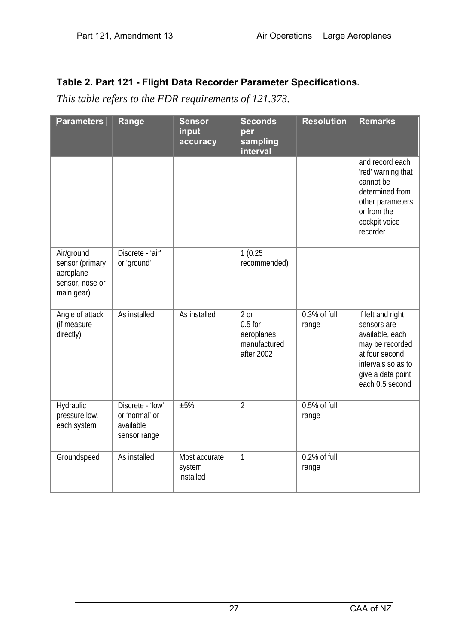| <b>Parameters</b>                                                           | Range                                                           | <b>Sensor</b><br>input<br>accuracy   | <b>Seconds</b><br>per<br>sampling                               | <b>Resolution</b>       | Remarks                                                                                                                                                |
|-----------------------------------------------------------------------------|-----------------------------------------------------------------|--------------------------------------|-----------------------------------------------------------------|-------------------------|--------------------------------------------------------------------------------------------------------------------------------------------------------|
|                                                                             |                                                                 |                                      | interval                                                        |                         | and record each<br>'red' warning that<br>cannot be<br>determined from<br>other parameters<br>or from the<br>cockpit voice<br>recorder                  |
| Air/ground<br>sensor (primary<br>aeroplane<br>sensor, nose or<br>main gear) | Discrete - 'air'<br>or 'ground'                                 |                                      | 1(0.25)<br>recommended)                                         |                         |                                                                                                                                                        |
| Angle of attack<br>(if measure<br>directly)                                 | As installed                                                    | As installed                         | $2$ or<br>$0.5$ for<br>aeroplanes<br>manufactured<br>after 2002 | 0.3% of full<br>range   | If left and right<br>sensors are<br>available, each<br>may be recorded<br>at four second<br>intervals so as to<br>give a data point<br>each 0.5 second |
| Hydraulic<br>pressure low,<br>each system                                   | Discrete - 'low'<br>or 'normal' or<br>available<br>sensor range | $+5%$                                | $\overline{2}$                                                  | $0.5%$ of full<br>range |                                                                                                                                                        |
| Groundspeed                                                                 | As installed                                                    | Most accurate<br>system<br>installed | 1                                                               | 0.2% of full<br>range   |                                                                                                                                                        |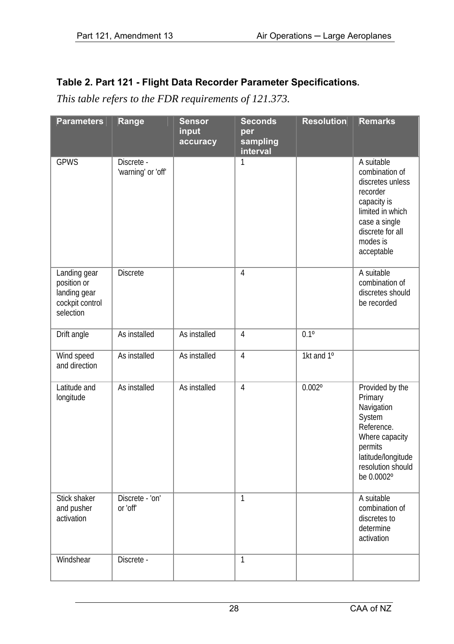| <b>Parameters</b>                                                           | Range                            | <b>Sensor</b><br>input<br>accuracy | <b>Seconds</b><br>per<br>sampling<br>interval | <b>Resolution</b> | <b>Remarks</b>                                                                                                                                                 |
|-----------------------------------------------------------------------------|----------------------------------|------------------------------------|-----------------------------------------------|-------------------|----------------------------------------------------------------------------------------------------------------------------------------------------------------|
| <b>GPWS</b>                                                                 | Discrete -<br>'warning' or 'off' |                                    | $\mathbf{1}$                                  |                   | A suitable<br>combination of<br>discretes unless<br>recorder<br>capacity is<br>limited in which<br>case a single<br>discrete for all<br>modes is<br>acceptable |
| Landing gear<br>position or<br>landing gear<br>cockpit control<br>selection | <b>Discrete</b>                  |                                    | 4                                             |                   | A suitable<br>combination of<br>discretes should<br>be recorded                                                                                                |
| Drift angle                                                                 | As installed                     | As installed                       | 4                                             | $0.1^{\circ}$     |                                                                                                                                                                |
| Wind speed<br>and direction                                                 | As installed                     | As installed                       | $\overline{4}$                                | 1kt and $1^\circ$ |                                                                                                                                                                |
| Latitude and<br>longitude                                                   | As installed                     | As installed                       | 4                                             | $0.002^{\circ}$   | Provided by the<br>Primary<br>Navigation<br>System<br>Reference.<br>Where capacity<br>permits<br>latitude/longitude<br>resolution should<br>be 0.0002°         |
| Stick shaker<br>and pusher<br>activation                                    | Discrete - 'on'<br>or 'off'      |                                    | $\overline{1}$                                |                   | A suitable<br>combination of<br>discretes to<br>determine<br>activation                                                                                        |
| Windshear                                                                   | Discrete -                       |                                    | $\mathbf{1}$                                  |                   |                                                                                                                                                                |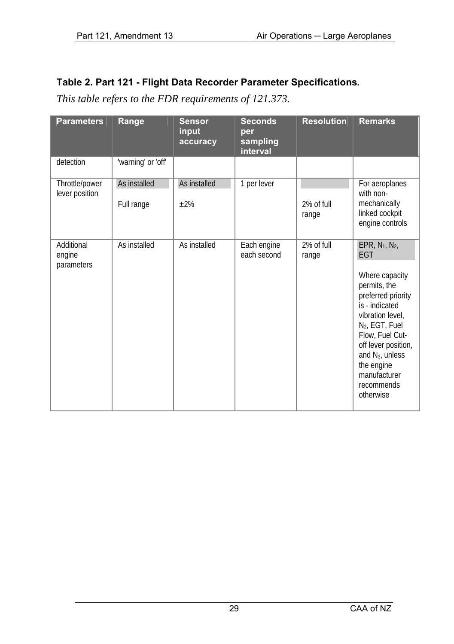| <b>Parameters</b>                  | Range                      | <b>Sensor</b><br>input<br>accuracy | <b>Seconds</b><br>per<br>sampling<br>interval | <b>Resolution</b>   | <b>Remarks</b>                                                                                                                                                                                                                                                                                     |
|------------------------------------|----------------------------|------------------------------------|-----------------------------------------------|---------------------|----------------------------------------------------------------------------------------------------------------------------------------------------------------------------------------------------------------------------------------------------------------------------------------------------|
| detection                          | 'warning' or 'off'         |                                    |                                               |                     |                                                                                                                                                                                                                                                                                                    |
| Throttle/power<br>lever position   | As installed<br>Full range | As installed<br>$+2%$              | 1 per lever                                   | 2% of full<br>range | For aeroplanes<br>with non-<br>mechanically<br>linked cockpit<br>engine controls                                                                                                                                                                                                                   |
| Additional<br>engine<br>parameters | As installed               | As installed                       | Each engine<br>each second                    | 2% of full<br>range | EPR, N <sub>1</sub> , N <sub>2</sub> ,<br>EGT<br>Where capacity<br>permits, the<br>preferred priority<br>is - indicated<br>vibration level,<br>N <sub>2</sub> , EGT, Fuel<br>Flow, Fuel Cut-<br>off lever position,<br>and $N_3$ , unless<br>the engine<br>manufacturer<br>recommends<br>otherwise |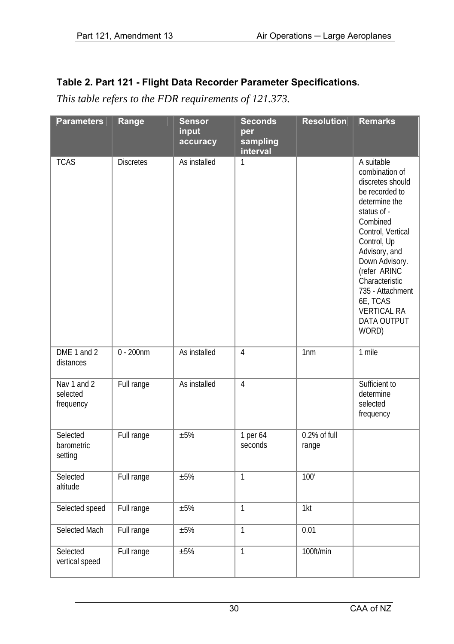| <b>Parameters</b>                    | Range            | <b>Sensor</b><br>input<br>accuracy | <b>Seconds</b><br>per<br>sampling<br>interval | <b>Resolution</b>     | <b>Remarks</b>                                                                                                                                                                                                                                                                                        |
|--------------------------------------|------------------|------------------------------------|-----------------------------------------------|-----------------------|-------------------------------------------------------------------------------------------------------------------------------------------------------------------------------------------------------------------------------------------------------------------------------------------------------|
| <b>TCAS</b>                          | <b>Discretes</b> | As installed                       | $\mathbf{1}$                                  |                       | A suitable<br>combination of<br>discretes should<br>be recorded to<br>determine the<br>status of -<br>Combined<br>Control, Vertical<br>Control, Up<br>Advisory, and<br>Down Advisory.<br>(refer ARINC<br>Characteristic<br>735 - Attachment<br>6E, TCAS<br><b>VERTICAL RA</b><br>DATA OUTPUT<br>WORD) |
| DME 1 and 2<br>distances             | $0 - 200$ nm     | As installed                       | 4                                             | 1 <sub>nm</sub>       | 1 mile                                                                                                                                                                                                                                                                                                |
| Nav 1 and 2<br>selected<br>frequency | Full range       | As installed                       | 4                                             |                       | Sufficient to<br>determine<br>selected<br>frequency                                                                                                                                                                                                                                                   |
| Selected<br>barometric<br>setting    | Full range       | ±5%                                | 1 per 64<br>seconds                           | 0.2% of full<br>range |                                                                                                                                                                                                                                                                                                       |
| Selected<br>altitude                 | Full range       | ±5%                                | $\overline{1}$                                | 100'                  |                                                                                                                                                                                                                                                                                                       |
| Selected speed                       | Full range       | ±5%                                | $\overline{1}$                                | 1kt                   |                                                                                                                                                                                                                                                                                                       |
| Selected Mach                        | Full range       | ±5%                                | $\overline{1}$                                | 0.01                  |                                                                                                                                                                                                                                                                                                       |
| Selected<br>vertical speed           | Full range       | ±5%                                | $\overline{1}$                                | 100ft/min             |                                                                                                                                                                                                                                                                                                       |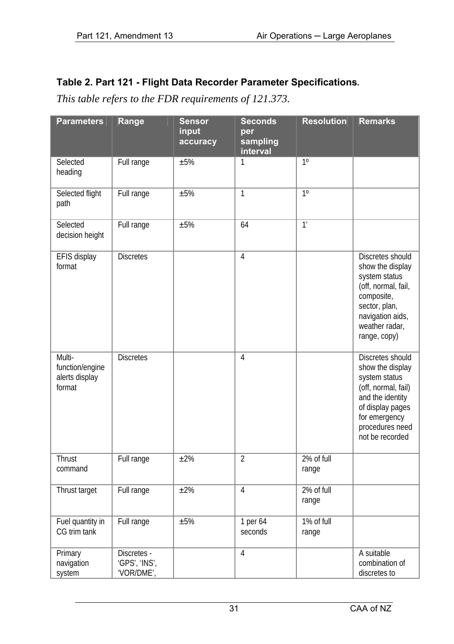| <b>Parameters</b>                                     | Range                                      | <b>Sensor</b><br>input<br>accuracy | <b>Seconds</b><br>per<br>sampling<br>interval | <b>Resolution</b>   | <b>Remarks</b>                                                                                                                                                              |
|-------------------------------------------------------|--------------------------------------------|------------------------------------|-----------------------------------------------|---------------------|-----------------------------------------------------------------------------------------------------------------------------------------------------------------------------|
| Selected<br>heading                                   | Full range                                 | ±5%                                | 1                                             | 10                  |                                                                                                                                                                             |
| Selected flight<br>path                               | Full range                                 | ±5%                                | $\mathbf{1}$                                  | $\overline{1^0}$    |                                                                                                                                                                             |
| Selected<br>decision height                           | Full range                                 | ±5%                                | 64                                            | $\overline{1'}$     |                                                                                                                                                                             |
| EFIS display<br>format                                | <b>Discretes</b>                           |                                    | 4                                             |                     | Discretes should<br>show the display<br>system status<br>(off, normal, fail,<br>composite,<br>sector, plan,<br>navigation aids,<br>weather radar,<br>range, copy)           |
| Multi-<br>function/engine<br>alerts display<br>format | <b>Discretes</b>                           |                                    | $\overline{4}$                                |                     | Discretes should<br>show the display<br>system status<br>(off, normal, fail)<br>and the identity<br>of display pages<br>for emergency<br>procedures need<br>not be recorded |
| Thrust<br>command                                     | Full range                                 | ±2%                                | $\overline{2}$                                | 2% of full<br>range |                                                                                                                                                                             |
| Thrust target                                         | Full range                                 | $\overline{\pm 2\%}$               | 4                                             | 2% of full<br>range |                                                                                                                                                                             |
| Fuel quantity in<br>CG trim tank                      | Full range                                 | ±5%                                | 1 per 64<br>seconds                           | 1% of full<br>range |                                                                                                                                                                             |
| Primary<br>navigation<br>system                       | Discretes -<br>'GPS', 'INS',<br>'VOR/DME', |                                    | 4                                             |                     | A suitable<br>combination of<br>discretes to                                                                                                                                |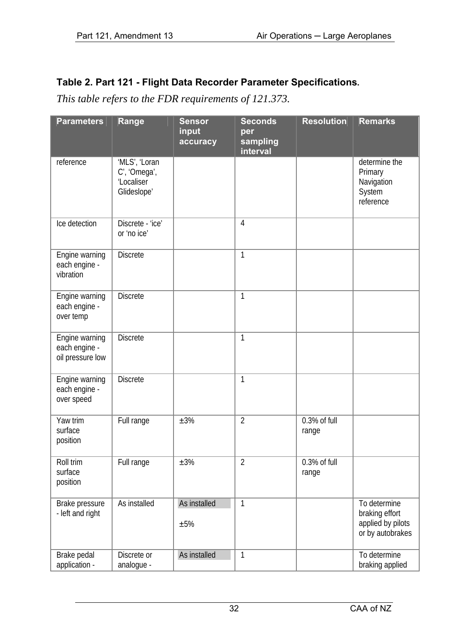| <b>Parameters</b>                                   | Range                                                      | <b>Sensor</b><br>input<br>accuracy | <b>Seconds</b><br>per<br>sampling<br><b>interval</b> | <b>Resolution</b>     | <b>Remarks</b>                                                          |
|-----------------------------------------------------|------------------------------------------------------------|------------------------------------|------------------------------------------------------|-----------------------|-------------------------------------------------------------------------|
| reference                                           | 'MLS', 'Loran<br>C', 'Omega',<br>'Localiser<br>Glideslope' |                                    |                                                      |                       | determine the<br>Primary<br>Navigation<br>System<br>reference           |
| Ice detection                                       | Discrete - 'ice'<br>or 'no ice'                            |                                    | $\overline{4}$                                       |                       |                                                                         |
| Engine warning<br>each engine -<br>vibration        | <b>Discrete</b>                                            |                                    | $\overline{1}$                                       |                       |                                                                         |
| Engine warning<br>each engine -<br>over temp        | <b>Discrete</b>                                            |                                    | $\overline{1}$                                       |                       |                                                                         |
| Engine warning<br>each engine -<br>oil pressure low | <b>Discrete</b>                                            |                                    | $\mathbf{1}$                                         |                       |                                                                         |
| Engine warning<br>each engine -<br>over speed       | <b>Discrete</b>                                            |                                    | $\mathbf{1}$                                         |                       |                                                                         |
| Yaw trim<br>surface<br>position                     | Full range                                                 | ±3%                                | $\overline{2}$                                       | 0.3% of full<br>range |                                                                         |
| Roll trim<br>surface<br>position                    | Full range                                                 | ±3%                                | $\overline{2}$                                       | 0.3% of full<br>range |                                                                         |
| Brake pressure<br>- left and right                  | As installed                                               | As installed<br>±5%                | $\mathbf{1}$                                         |                       | To determine<br>braking effort<br>applied by pilots<br>or by autobrakes |
| Brake pedal<br>application -                        | Discrete or<br>analogue -                                  | As installed                       | $\mathbf{1}$                                         |                       | To determine<br>braking applied                                         |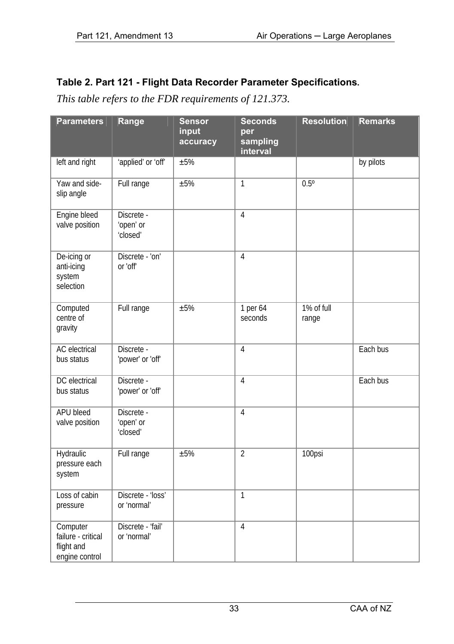| <b>Parameters</b>                                              | Range                               | <b>Sensor</b><br>input<br>accuracy | <b>Seconds</b><br>per<br>sampling<br>interval | <b>Resolution</b>   | <b>Remarks</b> |
|----------------------------------------------------------------|-------------------------------------|------------------------------------|-----------------------------------------------|---------------------|----------------|
| left and right                                                 | 'applied' or 'off'                  | $\pm 5\%$                          |                                               |                     | by pilots      |
| Yaw and side-<br>slip angle                                    | Full range                          | ±5%                                | $\mathbf{1}$                                  | $0.5^\circ$         |                |
| Engine bleed<br>valve position                                 | Discrete -<br>'open' or<br>'closed' |                                    | 4                                             |                     |                |
| De-icing or<br>anti-icing<br>system<br>selection               | Discrete - 'on'<br>or 'off'         |                                    | $\overline{4}$                                |                     |                |
| Computed<br>centre of<br>gravity                               | Full range                          | $+5%$                              | 1 per 64<br>seconds                           | 1% of full<br>range |                |
| <b>AC</b> electrical<br>bus status                             | Discrete -<br>'power' or 'off'      |                                    | 4                                             |                     | Each bus       |
| DC electrical<br>bus status                                    | Discrete -<br>'power' or 'off'      |                                    | $\overline{4}$                                |                     | Each bus       |
| <b>APU bleed</b><br>valve position                             | Discrete -<br>'open' or<br>'closed' |                                    | $\overline{4}$                                |                     |                |
| Hydraulic<br>pressure each<br>system                           | Full range                          | ±5%                                | $\overline{2}$                                | 100psi              |                |
| Loss of cabin<br>pressure                                      | Discrete - 'loss'<br>or 'normal'    |                                    | $\overline{1}$                                |                     |                |
| Computer<br>failure - critical<br>flight and<br>engine control | Discrete - 'fail'<br>or 'normal'    |                                    | $\overline{4}$                                |                     |                |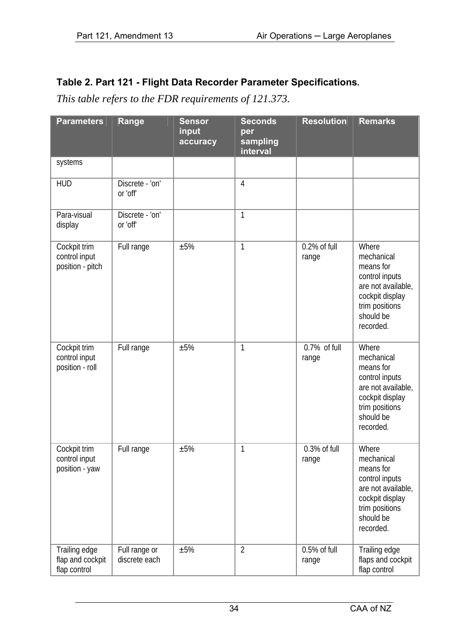| <b>Parameters</b>                                 | Range                          | <b>Sensor</b><br>input<br>accuracy | <b>Seconds</b><br>per<br>sampling<br>interval | <b>Resolution</b>        | <b>Remarks</b>                                                                                                                          |
|---------------------------------------------------|--------------------------------|------------------------------------|-----------------------------------------------|--------------------------|-----------------------------------------------------------------------------------------------------------------------------------------|
| systems                                           |                                |                                    |                                               |                          |                                                                                                                                         |
| <b>HUD</b>                                        | Discrete - 'on'<br>or 'off'    |                                    | $\overline{4}$                                |                          |                                                                                                                                         |
| Para-visual<br>display                            | Discrete - 'on'<br>or 'off'    |                                    | $\overline{1}$                                |                          |                                                                                                                                         |
| Cockpit trim<br>control input<br>position - pitch | Full range                     | ±5%                                | $\mathbf{1}$                                  | 0.2% of full<br>range    | Where<br>mechanical<br>means for<br>control inputs<br>are not available,<br>cockpit display<br>trim positions<br>should be<br>recorded. |
| Cockpit trim<br>control input<br>position - roll  | Full range                     | ±5%                                | $\mathbf{1}$                                  | $0.7\%$ of full<br>range | Where<br>mechanical<br>means for<br>control inputs<br>are not available,<br>cockpit display<br>trim positions<br>should be<br>recorded. |
| Cockpit trim<br>control input<br>position - yaw   | Full range                     | ±5%                                | $\mathbf{1}$                                  | 0.3% of full<br>range    | Where<br>mechanical<br>means for<br>control inputs<br>are not available,<br>cockpit display<br>trim positions<br>should be<br>recorded. |
| Trailing edge<br>flap and cockpit<br>flap control | Full range or<br>discrete each | ±5%                                | $\overline{2}$                                | 0.5% of full<br>range    | Trailing edge<br>flaps and cockpit<br>flap control                                                                                      |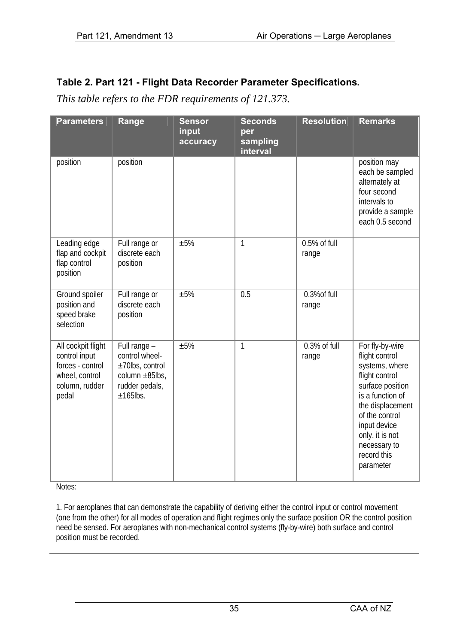*This table refers to the FDR requirements of 121.373.*

| <b>Parameters</b>                                                                                    | Range                                                                                                   | <b>Sensor</b><br>input<br>accuracy | <b>Seconds</b><br>per<br>sampling<br>interval | <b>Resolution</b>        | <b>Remarks</b>                                                                                                                                                                                                                     |
|------------------------------------------------------------------------------------------------------|---------------------------------------------------------------------------------------------------------|------------------------------------|-----------------------------------------------|--------------------------|------------------------------------------------------------------------------------------------------------------------------------------------------------------------------------------------------------------------------------|
| position                                                                                             | position                                                                                                |                                    |                                               |                          | position may<br>each be sampled<br>alternately at<br>four second<br>intervals to<br>provide a sample<br>each 0.5 second                                                                                                            |
| Leading edge<br>flap and cockpit<br>flap control<br>position                                         | Full range or<br>discrete each<br>position                                                              | $+5%$                              | 1                                             | $0.5%$ of full<br>range  |                                                                                                                                                                                                                                    |
| Ground spoiler<br>position and<br>speed brake<br>selection                                           | Full range or<br>discrete each<br>position                                                              | $+5%$                              | 0.5                                           | $0.3%$ of full<br>range  |                                                                                                                                                                                                                                    |
| All cockpit flight<br>control input<br>forces - control<br>wheel, control<br>column, rudder<br>pedal | Full range -<br>control wheel-<br>$±70$ lbs, control<br>column ±85lbs,<br>rudder pedals,<br>$+165$ lbs. | $+5%$                              | 1                                             | $0.3\%$ of full<br>range | For fly-by-wire<br>flight control<br>systems, where<br>flight control<br>surface position<br>is a function of<br>the displacement<br>of the control<br>input device<br>only, it is not<br>necessary to<br>record this<br>parameter |

Notes:

1. For aeroplanes that can demonstrate the capability of deriving either the control input or control movement (one from the other) for all modes of operation and flight regimes only the surface position OR the control position need be sensed. For aeroplanes with non-mechanical control systems (fly-by-wire) both surface and control position must be recorded.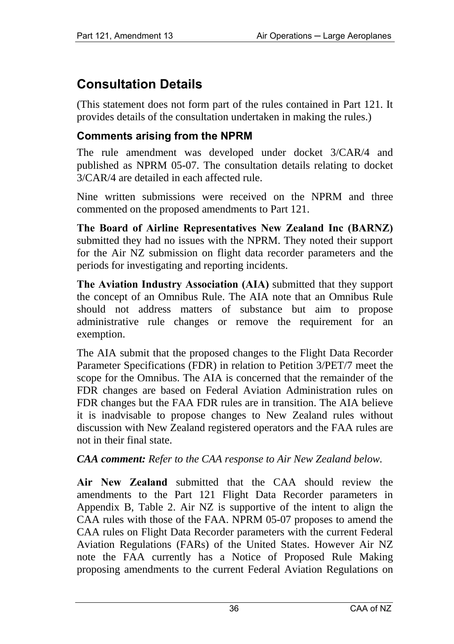# **Consultation Details**

(This statement does not form part of the rules contained in Part 121. It provides details of the consultation undertaken in making the rules.)

## **Comments arising from the NPRM**

The rule amendment was developed under docket 3/CAR/4 and published as NPRM 05-07. The consultation details relating to docket 3/CAR/4 are detailed in each affected rule.

Nine written submissions were received on the NPRM and three commented on the proposed amendments to Part 121.

**The Board of Airline Representatives New Zealand Inc (BARNZ)**  submitted they had no issues with the NPRM. They noted their support for the Air NZ submission on flight data recorder parameters and the periods for investigating and reporting incidents.

**The Aviation Industry Association (AIA)** submitted that they support the concept of an Omnibus Rule. The AIA note that an Omnibus Rule should not address matters of substance but aim to propose administrative rule changes or remove the requirement for an exemption.

The AIA submit that the proposed changes to the Flight Data Recorder Parameter Specifications (FDR) in relation to Petition 3/PET/7 meet the scope for the Omnibus. The AIA is concerned that the remainder of the FDR changes are based on Federal Aviation Administration rules on FDR changes but the FAA FDR rules are in transition. The AIA believe it is inadvisable to propose changes to New Zealand rules without discussion with New Zealand registered operators and the FAA rules are not in their final state.

*CAA comment: Refer to the CAA response to Air New Zealand below.* 

**Air New Zealand** submitted that the CAA should review the amendments to the Part 121 Flight Data Recorder parameters in Appendix B, Table 2. Air NZ is supportive of the intent to align the CAA rules with those of the FAA. NPRM 05-07 proposes to amend the CAA rules on Flight Data Recorder parameters with the current Federal Aviation Regulations (FARs) of the United States. However Air NZ note the FAA currently has a Notice of Proposed Rule Making proposing amendments to the current Federal Aviation Regulations on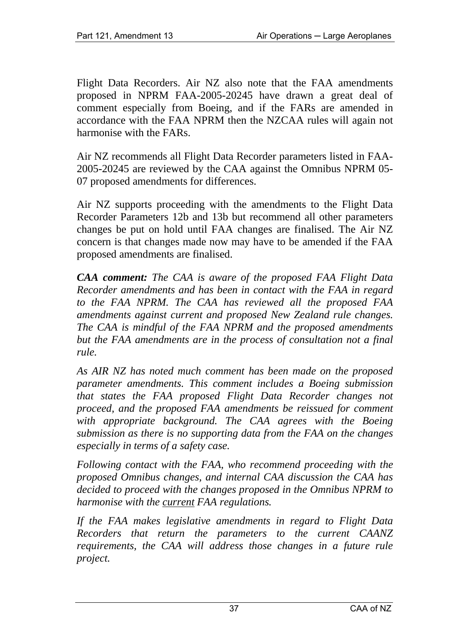Flight Data Recorders. Air NZ also note that the FAA amendments proposed in NPRM FAA-2005-20245 have drawn a great deal of comment especially from Boeing, and if the FARs are amended in accordance with the FAA NPRM then the NZCAA rules will again not harmonise with the FARs.

Air NZ recommends all Flight Data Recorder parameters listed in FAA-2005-20245 are reviewed by the CAA against the Omnibus NPRM 05- 07 proposed amendments for differences.

Air NZ supports proceeding with the amendments to the Flight Data Recorder Parameters 12b and 13b but recommend all other parameters changes be put on hold until FAA changes are finalised. The Air NZ concern is that changes made now may have to be amended if the FAA proposed amendments are finalised.

*CAA comment: The CAA is aware of the proposed FAA Flight Data Recorder amendments and has been in contact with the FAA in regard to the FAA NPRM. The CAA has reviewed all the proposed FAA amendments against current and proposed New Zealand rule changes. The CAA is mindful of the FAA NPRM and the proposed amendments but the FAA amendments are in the process of consultation not a final rule.* 

*As AIR NZ has noted much comment has been made on the proposed parameter amendments. This comment includes a Boeing submission that states the FAA proposed Flight Data Recorder changes not proceed, and the proposed FAA amendments be reissued for comment with appropriate background. The CAA agrees with the Boeing submission as there is no supporting data from the FAA on the changes especially in terms of a safety case.* 

*Following contact with the FAA, who recommend proceeding with the proposed Omnibus changes, and internal CAA discussion the CAA has decided to proceed with the changes proposed in the Omnibus NPRM to harmonise with the current FAA regulations.* 

*If the FAA makes legislative amendments in regard to Flight Data Recorders that return the parameters to the current CAANZ requirements, the CAA will address those changes in a future rule project.*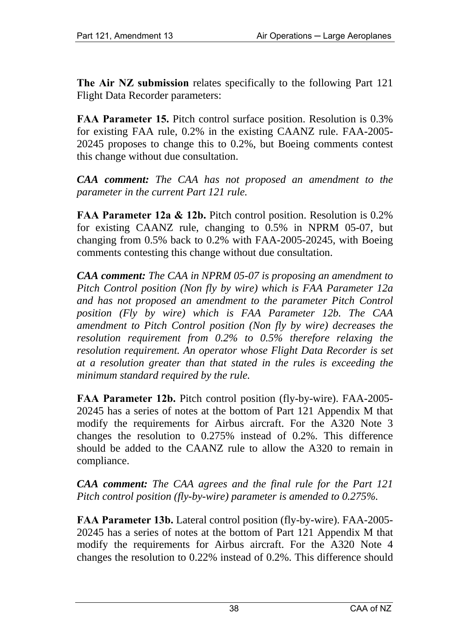**The Air NZ submission** relates specifically to the following Part 121 Flight Data Recorder parameters:

**FAA Parameter 15.** Pitch control surface position. Resolution is 0.3% for existing FAA rule, 0.2% in the existing CAANZ rule. FAA-2005- 20245 proposes to change this to 0.2%, but Boeing comments contest this change without due consultation.

*CAA comment: The CAA has not proposed an amendment to the parameter in the current Part 121 rule.* 

**FAA Parameter 12a & 12b.** Pitch control position. Resolution is 0.2% for existing CAANZ rule, changing to 0.5% in NPRM 05-07, but changing from 0.5% back to 0.2% with FAA-2005-20245, with Boeing comments contesting this change without due consultation.

*CAA comment: The CAA in NPRM 05-07 is proposing an amendment to Pitch Control position (Non fly by wire) which is FAA Parameter 12a and has not proposed an amendment to the parameter Pitch Control position (Fly by wire) which is FAA Parameter 12b. The CAA amendment to Pitch Control position (Non fly by wire) decreases the resolution requirement from 0.2% to 0.5% therefore relaxing the resolution requirement. An operator whose Flight Data Recorder is set at a resolution greater than that stated in the rules is exceeding the minimum standard required by the rule.*

**FAA Parameter 12b.** Pitch control position (fly-by-wire). FAA-2005- 20245 has a series of notes at the bottom of Part 121 Appendix M that modify the requirements for Airbus aircraft. For the A320 Note 3 changes the resolution to 0.275% instead of 0.2%. This difference should be added to the CAANZ rule to allow the A320 to remain in compliance.

*CAA comment: The CAA agrees and the final rule for the Part 121 Pitch control position (fly-by-wire) parameter is amended to 0.275%.*

**FAA Parameter 13b.** Lateral control position (fly-by-wire). FAA-2005- 20245 has a series of notes at the bottom of Part 121 Appendix M that modify the requirements for Airbus aircraft. For the A320 Note 4 changes the resolution to 0.22% instead of 0.2%. This difference should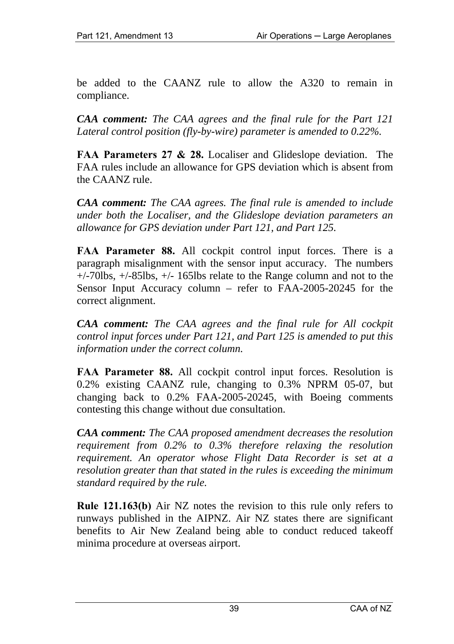be added to the CAANZ rule to allow the A320 to remain in compliance.

*CAA comment: The CAA agrees and the final rule for the Part 121 Lateral control position (fly-by-wire) parameter is amended to 0.22%.*

**FAA Parameters 27 & 28.** Localiser and Glideslope deviation. The FAA rules include an allowance for GPS deviation which is absent from the CAANZ rule.

*CAA comment: The CAA agrees. The final rule is amended to include under both the Localiser, and the Glideslope deviation parameters an allowance for GPS deviation under Part 121, and Part 125.*

**FAA Parameter 88.** All cockpit control input forces. There is a paragraph misalignment with the sensor input accuracy. The numbers +/-70lbs, +/-85lbs, +/- 165lbs relate to the Range column and not to the Sensor Input Accuracy column – refer to FAA-2005-20245 for the correct alignment.

*CAA comment: The CAA agrees and the final rule for All cockpit control input forces under Part 121, and Part 125 is amended to put this information under the correct column.*

**FAA Parameter 88.** All cockpit control input forces. Resolution is 0.2% existing CAANZ rule, changing to 0.3% NPRM 05-07, but changing back to 0.2% FAA-2005-20245, with Boeing comments contesting this change without due consultation.

*CAA comment: The CAA proposed amendment decreases the resolution requirement from 0.2% to 0.3% therefore relaxing the resolution requirement. An operator whose Flight Data Recorder is set at a resolution greater than that stated in the rules is exceeding the minimum standard required by the rule.*

**Rule 121.163(b)** Air NZ notes the revision to this rule only refers to runways published in the AIPNZ. Air NZ states there are significant benefits to Air New Zealand being able to conduct reduced takeoff minima procedure at overseas airport.